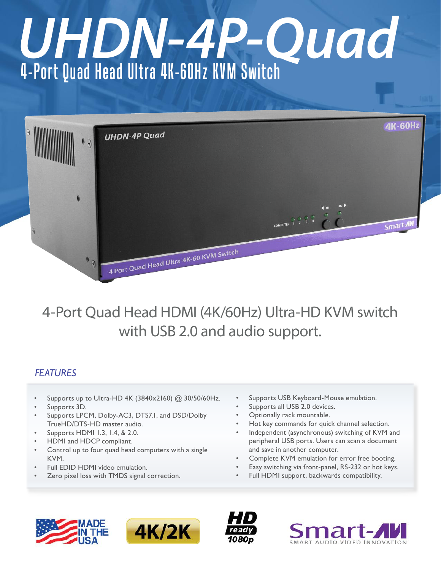# 4-Port Quad Head Ultra 4K-60Hz KVM Switch *UHDN-4P-Quad*



# 4-Port Quad Head HDMI (4K/60Hz) Ultra-HD KVM switch with USB 2.0 and audio support.

# *FEATURES*

- Supports up to Ultra-HD 4K (3840x2160) @ 30/50/60Hz.
- Supports 3D.
- Supports LPCM, Dolby-AC3, DTS7.1, and DSD/Dolby TrueHD/DTS-HD master audio.
- Supports HDMI 1.3, 1.4, & 2.0.
- HDMI and HDCP compliant.
- Control up to four quad head computers with a single KVM.
- Full EDID HDMI video emulation.
- Zero pixel loss with TMDS signal correction.
- Supports USB Keyboard-Mouse emulation.
- Supports all USB 2.0 devices.
- Optionally rack mountable.
- Hot key commands for quick channel selection.
- Independent (asynchronous) switching of KVM and peripheral USB ports. Users can scan a document and save in another computer.
- Complete KVM emulation for error free booting.
- Easy switching via front-panel, RS-232 or hot keys.
- Full HDMI support, backwards compatibility.







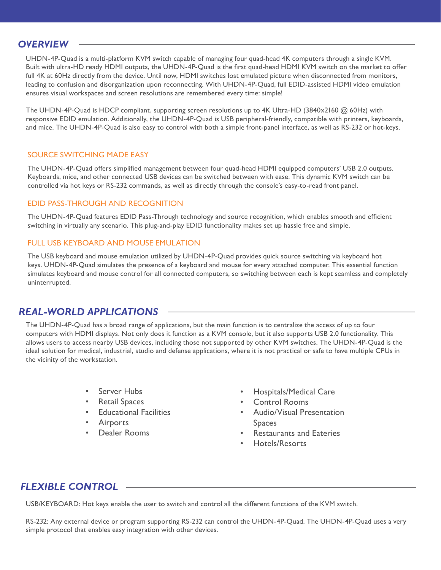## *OVERVIEW*

UHDN-4P-Quad is a multi-platform KVM switch capable of managing four quad-head 4K computers through a single KVM. Built with ultra-HD ready HDMI outputs, the UHDN-4P-Quad is the first quad-head HDMI KVM switch on the market to offer full 4K at 60Hz directly from the device. Until now, HDMI switches lost emulated picture when disconnected from monitors, leading to confusion and disorganization upon reconnecting. With UHDN-4P-Quad, full EDID-assisted HDMI video emulation ensures visual workspaces and screen resolutions are remembered every time: simple!

The UHDN-4P-Quad is HDCP compliant, supporting screen resolutions up to 4K Ultra-HD (3840x2160 @ 60Hz) with responsive EDID emulation. Additionally, the UHDN-4P-Quad is USB peripheral-friendly, compatible with printers, keyboards, and mice. The UHDN-4P-Quad is also easy to control with both a simple front-panel interface, as well as RS-232 or hot-keys.

#### SOURCE SWITCHING MADE EASY

The UHDN-4P-Quad offers simplified management between four quad-head HDMI equipped computers' USB 2.0 outputs. Keyboards, mice, and other connected USB devices can be switched between with ease. This dynamic KVM switch can be controlled via hot keys or RS-232 commands, as well as directly through the console's easy-to-read front panel.

#### EDID PASS-THROUGH AND RECOGNITION

The UHDN-4P-Quad features EDID Pass-Through technology and source recognition, which enables smooth and efficient switching in virtually any scenario. This plug-and-play EDID functionality makes set up hassle free and simple.

#### FULL USB KEYBOARD AND MOUSE FMULATION

The USB keyboard and mouse emulation utilized by UHDN-4P-Quad provides quick source switching via keyboard hot keys. UHDN-4P-Quad simulates the presence of a keyboard and mouse for every attached computer. This essential function simulates keyboard and mouse control for all connected computers, so switching between each is kept seamless and completely uninterrupted.

# *REAL-WORLD APPLICATIONS*

The UHDN-4P-Quad has a broad range of applications, but the main function is to centralize the access of up to four computers with HDMI displays. Not only does it function as a KVM console, but it also supports USB 2.0 functionality. This allows users to access nearby USB devices, including those not supported by other KVM switches. The UHDN-4P-Quad is the ideal solution for medical, industrial, studio and defense applications, where it is not practical or safe to have multiple CPUs in the vicinity of the workstation.

- Server Hubs
- **Retail Spaces**
- **Educational Facilities**
- **Airports**
- Dealer Rooms
- Hospitals/Medical Care
- Control Rooms
- • Audio/Visual Presentation Spaces
- **Restaurants and Eateries**
- Hotels/Resorts

# *FLEXIBLE CONTROL*

USB/KEYBOARD: Hot keys enable the user to switch and control all the different functions of the KVM switch.

RS-232: Any external device or program supporting RS-232 can control the UHDN-4P-Quad. The UHDN-4P-Quad uses a very simple protocol that enables easy integration with other devices.